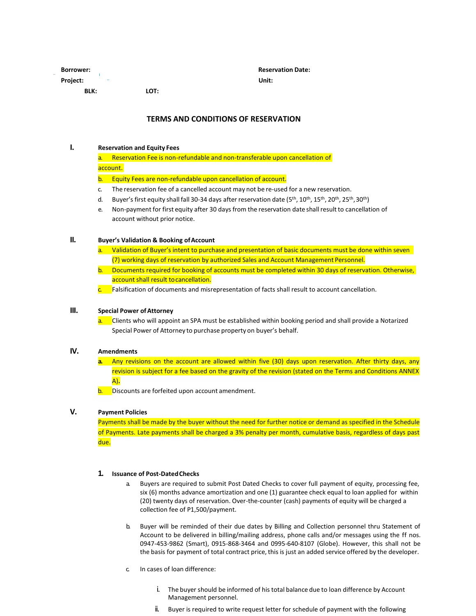| Borrower:          | <b>Reservation Date:</b> |       |  |
|--------------------|--------------------------|-------|--|
| Project:<br>$\sim$ |                          | Unit: |  |
| <b>BLK:</b>        | LOT:                     |       |  |

## **TERMS AND CONDITIONS OF RESERVATION**

## **I. Reservation and Equity Fees**

a. Reservation Fee is non-refundable and non-transferable upon cancellation of

# account.

### b. Equity Fees are non-refundable upon cancellation of account.

- c. The reservation fee of a cancelled account may not be re-used for a new reservation.
- d. Buyer's first equity shall fall 30-34 days after reservation date (5<sup>th</sup>, 10<sup>th</sup>, 15<sup>th</sup>, 20<sup>th</sup>, 25<sup>th</sup>, 30<sup>th</sup>)
- e. Non-payment for first equity after 30 days from the reservation date shall result to cancellation of account without prior notice.

## **II. Buyer's Validation & Booking ofAccount**

- Validation of Buyer's intent to purchase and presentation of basic documents must be done within seven (7) working days of reservation by authorized Sales and Account Management Personnel.
- b. Documents required for booking of accounts must be completed within 30 days of reservation. Otherwise, account shall result tocancellation.
- $c.$  Falsification of documents and misrepresentation of facts shall result to account cancellation.

# **III. Special Power ofAttorney**

a. Clients who will appoint an SPA must be established within booking period and shall provide a Notarized Special Power of Attorney to purchase property on buyer's behalf.

## **IV. Amendments**

- **a.** Any revisions on the account are allowed within five (30) days upon reservation. After thirty days, any revision is subject for a fee based on the gravity of the revision (stated on the Terms and Conditions ANNEX A)**.**
- **b.** Discounts are forfeited upon account amendment.

# **V. Payment Policies**

Payments shall be made by the buyer without the need for further notice or demand as specified in the Schedule of Payments. Late payments shall be charged a 3% penalty per month, cumulative basis, regardless of days past due.

# **1. Issuance of Post-DatedChecks**

- a. Buyers are required to submit Post Dated Checks to cover full payment of equity, processing fee, six (6) months advance amortization and one (1) guarantee check equal to loan applied for within (20) twenty days of reservation. Over-the-counter (cash) payments of equity will be charged a collection fee of P1,500/payment.
- b. Buyer will be reminded of their due dates by Billing and Collection personnel thru Statement of Account to be delivered in billing/mailing address, phone calls and/or messages using the ff nos. 0947-453-9862 (Smart), 0915-868-3464 and 0995-640-8107 (Globe). However, this shall not be the basis for payment of total contract price, this is just an added service offered by the developer.
- c. In cases of loan difference:
	- i. The buyer should be informed of his total balance due to loan difference by Account Management personnel.
	- ii. Buyer is required to write request letter for schedule of payment with the following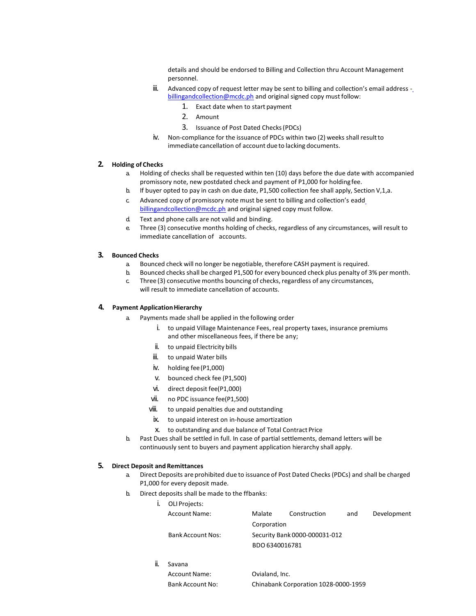details and should be endorsed to Billing and Collection thru Account Management personnel.

- iii. Advanced copy of request letter may be sent to billing and collection's email address  [billingandcollection@mcdc.ph](mailto:billingandcollection@mcdc.ph) and original signed copy must follow:
	- 1. Exact date when to start payment
	- 2. Amount
	- 3. Issuance of Post Dated Checks(PDCs)
- iv. Non-compliance for the issuance of PDCs within two (2) weeks shall result to immediate cancellation of account due to lacking documents.

### **2. Holding of Checks**

- a. Holding of checks shall be requested within ten (10) days before the due date with accompanied promissory note, new postdated check and payment of P1,000 for holdingfee.
- b. If buyer opted to pay in cash on due date, P1,500 collection fee shall apply, Section V,1,a.
- c. Advanced copy of promissory note must be sent to billing and collection's ead[d](mailto:billingandcollection@mcdc.ph) [billingandcollection@mcdc.ph](mailto:billingandcollection@mcdc.ph) and original signed copy must follow.
- d. Text and phone calls are not valid and binding.
- e. Three (3) consecutive months holding of checks, regardless of any circumstances, will result to immediate cancellation of accounts.

#### **3. Bounced Checks**

- a. Bounced check will no longer be negotiable, therefore CASH payment is required.
- b. Bounced checks shall be charged P1,500 for every bounced check plus penalty of 3% per month.
- c. Three (3) consecutive months bouncing of checks, regardless of any circumstances, will result to immediate cancellation of accounts.

#### **4.** Payment Application Hierarchy

- a. Payments made shall be applied in the following order
	- i. to unpaid Village Maintenance Fees, real property taxes, insurance premiums and other miscellaneous fees, if there be any;
	- ii. to unpaid Electricity bills
	- iii. to unpaid Water bills
	- iv. holding fee(P1,000)
	- v. bounced check fee (P1,500)
	- vi. direct deposit fee(P1,000)
	- vii. no PDC issuance fee(P1,500)
	- viii. to unpaid penalties due and outstanding
	- ix. to unpaid interest on in-house amortization
	- x. to outstanding and due balance of Total Contract Price
- b. Past Dues shall be settled in full. In case of partial settlements, demand letters will be continuously sent to buyers and payment application hierarchy shall apply.

### **5. Direct Deposit and Remittances**

- a. Direct Deposits are prohibited due to issuance of Post Dated Checks (PDCs) and shall be charged P1,000 for every deposit made.
- b. Direct deposits shall be made to the ffbanks:

|  | <b>OLI Projects:</b>     |                               |              |     |             |  |  |
|--|--------------------------|-------------------------------|--------------|-----|-------------|--|--|
|  | Account Name:            | Malate                        | Construction | and | Development |  |  |
|  |                          | Corporation                   |              |     |             |  |  |
|  | <b>Bank Account Nos:</b> | Security Bank 0000-000031-012 |              |     |             |  |  |
|  |                          | BDO 6340016781                |              |     |             |  |  |
|  |                          |                               |              |     |             |  |  |

ii. Savana Account Name: Covialand, Inc. Bank Account No: Chinabank Corporation 1028-0000-1959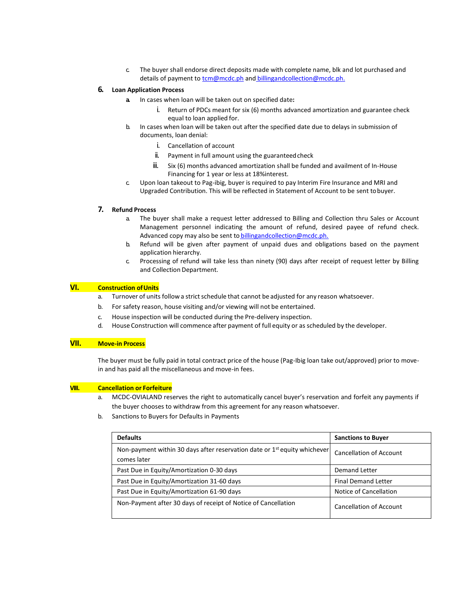c. The buyer shall endorse direct deposits made with complete name, blk and lot purchased and details of payment to [tcm@mcdc.ph](mailto:tcm@mcdc.ph) and [billingandcollection@mcdc.ph.](mailto:billingandcollection@mcdc.ph)

#### **6. Loan Application Process**

- **a.** In cases when loan will be taken out on specified date**:**
	- i. Return of PDCs meant for six (6) months advanced amortization and guarantee check equal to loan applied for.
- b. In cases when loan will be taken out after the specified date due to delays in submission of documents, loan denial:
	- i. Cancellation of account
	- ii. Payment in full amount using the guaranteedcheck
	- iii. Six (6) months advanced amortization shall be funded and availment of In-House Financing for 1 year or less at 18%interest.
- c. Upon loan takeout to Pag-ibig, buyer is required to pay Interim Fire Insurance and MRI and Upgraded Contribution. This will be reflected in Statement of Account to be sent tobuyer.

### **7. Refund Process**

- a. The buyer shall make a request letter addressed to Billing and Collection thru Sales or Account Management personnel indicating the amount of refund, desired payee of refund check. Advanced copy may also be sent to [billingandcollection@mcdc.ph.](mailto:billingandcollection@mcdc.ph)
- b. Refund will be given after payment of unpaid dues and obligations based on the payment application hierarchy.
- c. Processing of refund will take less than ninety (90) days after receipt of request letter by Billing and Collection Department.

### **VI. Construction ofUnits**

- a. Turnover of units follow a strict schedule that cannot be adjusted for any reason whatsoever.
- b. For safety reason, house visiting and/or viewing will not be entertained.
- c. House inspection will be conducted during the Pre-delivery inspection.
- d. House Construction will commence after payment of full equity or as scheduled by the developer.

### **VII. Move-in Process**

The buyer must be fully paid in total contract price of the house (Pag-Ibig loan take out/approved) prior to movein and has paid all the miscellaneous and move-in fees.

### **VIII. Cancellation or Forfeiture**

- a. MCDC-OVIALAND reserves the right to automatically cancel buyer's reservation and forfeit any payments if the buyer chooses to withdraw from this agreement for any reason whatsoever.
- b. Sanctions to Buyers for Defaults in Payments

| <b>Defaults</b>                                                                            | <b>Sanctions to Buyer</b>  |
|--------------------------------------------------------------------------------------------|----------------------------|
| Non-payment within 30 days after reservation date or $1st$ equity whichever<br>comes later | Cancellation of Account    |
| Past Due in Equity/Amortization 0-30 days                                                  | Demand Letter              |
| Past Due in Equity/Amortization 31-60 days                                                 | <b>Final Demand Letter</b> |
| Past Due in Equity/Amortization 61-90 days                                                 | Notice of Cancellation     |
| Non-Payment after 30 days of receipt of Notice of Cancellation                             | Cancellation of Account    |